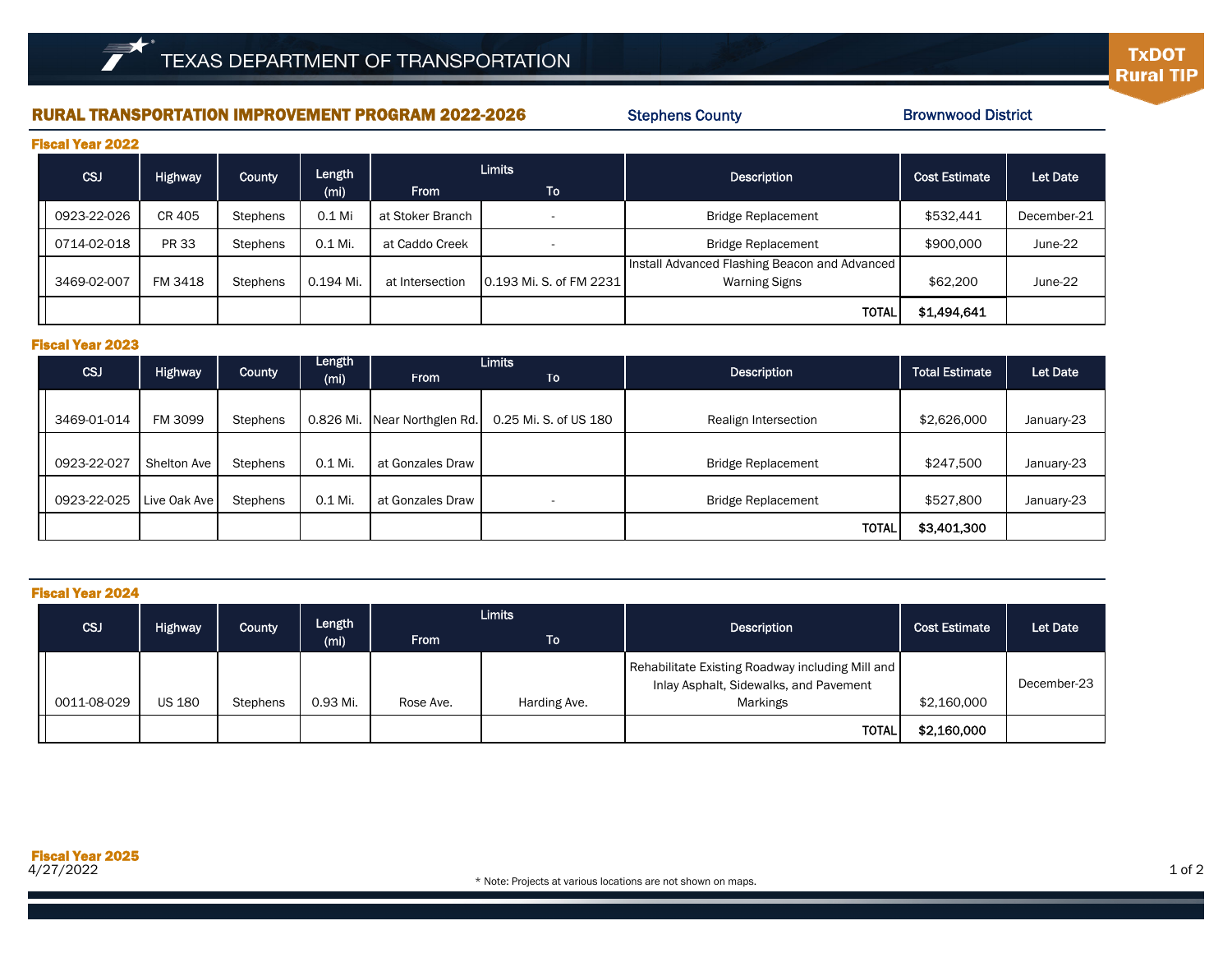## RURAL TRANSPORTATION IMPROVEMENT PROGRAM 2022-2026

Stephens County

Brownwood District

| <b>Fiscal Year 2022</b> |  |
|-------------------------|--|
|-------------------------|--|

| I RWAI IVAI AVAA |              |          |                   |                  |                         |                                                                       |                      |             |  |  |
|------------------|--------------|----------|-------------------|------------------|-------------------------|-----------------------------------------------------------------------|----------------------|-------------|--|--|
| <b>CSJ</b>       | Highway      | County   | Length            | <b>Limits</b>    |                         | <b>Description</b>                                                    | <b>Cost Estimate</b> | Let Date    |  |  |
|                  |              |          | (m <sub>i</sub> ) | <b>From</b>      | ا To                    |                                                                       |                      |             |  |  |
| 0923-22-026      | CR 405       | Stephens | 0.1 Mi            | at Stoker Branch |                         | <b>Bridge Replacement</b>                                             | \$532,441            | December-21 |  |  |
| 0714-02-018      | <b>PR 33</b> | Stephens | 0.1 Mi.           | at Caddo Creek   |                         | <b>Bridge Replacement</b>                                             | \$900,000            | June-22     |  |  |
| 3469-02-007      | FM 3418      | Stephens | 0.194 Mi.         | at Intersection  | 0.193 Mi. S. of FM 2231 | Install Advanced Flashing Beacon and Advanced<br><b>Warning Signs</b> | \$62,200             | June-22     |  |  |
|                  |              |          |                   |                  |                         | <b>TOTAL</b>                                                          | \$1,494,641          |             |  |  |

## Fiscal Year 2023

|             |              |          | Length            |                    | <b>Limits</b>         |                           |                       |            |
|-------------|--------------|----------|-------------------|--------------------|-----------------------|---------------------------|-----------------------|------------|
| CSJ         | Highway      | County   | (m <sub>i</sub> ) | <b>From</b>        | To                    | <b>Description</b>        | <b>Total Estimate</b> | Let Date   |
|             |              |          |                   |                    |                       |                           |                       |            |
| 3469-01-014 | FM 3099      | Stephens | 0.826 Mi.         | Near Northglen Rd. | 0.25 Mi. S. of US 180 | Realign Intersection      | \$2,626,000           | January-23 |
|             |              |          |                   |                    |                       |                           |                       |            |
| 0923-22-027 | Shelton Ave  | Stephens | 0.1 Mi.           | at Gonzales Draw   |                       | <b>Bridge Replacement</b> | \$247,500             | January-23 |
|             |              |          |                   |                    |                       |                           |                       |            |
| 0923-22-025 | Live Oak Ave | Stephens | 0.1 Mi.           | at Gonzales Draw   |                       | <b>Bridge Replacement</b> | \$527,800             | January-23 |
|             |              |          |                   |                    |                       | <b>TOTAL</b>              | \$3,401,300           |            |

| <b>Fiscal Year 2024</b> |                |          |                                                             |           |              |                                                                                                        |                      |             |  |  |  |
|-------------------------|----------------|----------|-------------------------------------------------------------|-----------|--------------|--------------------------------------------------------------------------------------------------------|----------------------|-------------|--|--|--|
| <b>CSJ</b>              | <b>Highway</b> | County   | <b>Limits</b><br>Length<br><b>From</b><br>(m <sub>i</sub> ) |           | <b>To</b>    | Description                                                                                            | <b>Cost Estimate</b> | Let Date    |  |  |  |
| 0011-08-029             | <b>US 180</b>  | Stephens | 0.93 Mi.                                                    | Rose Ave. | Harding Ave. | Rehabilitate Existing Roadway including Mill and<br>Inlay Asphalt, Sidewalks, and Pavement<br>Markings | \$2,160,000          | December-23 |  |  |  |
|                         |                |          |                                                             |           |              | <b>TOTAL</b>                                                                                           | \$2,160,000          |             |  |  |  |

**TxDOT** 

**Rural TIP**